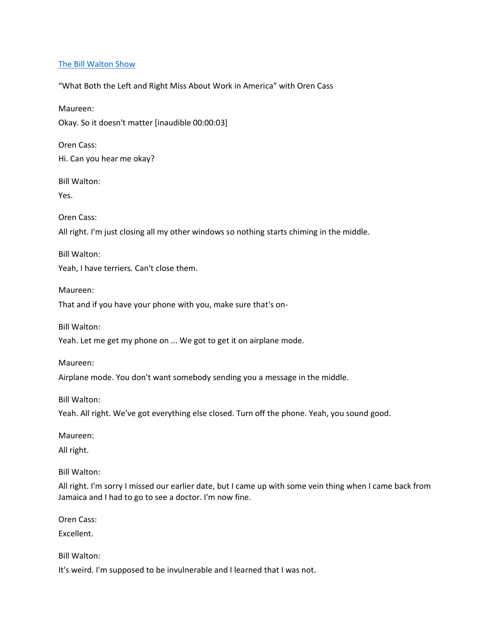## [The Bill Walton Show](https://thebillwaltonshow.com/)

"What Both the Left and Right Miss About Work in America" with Oren Cass

Maureen:

Okay. So it doesn't matter [inaudible 00:00:03]

Oren Cass: Hi. Can you hear me okay?

Bill Walton:

Yes.

Oren Cass:

All right. I'm just closing all my other windows so nothing starts chiming in the middle.

Bill Walton:

Yeah, I have terriers. Can't close them.

Maureen:

That and if you have your phone with you, make sure that's on-

Bill Walton:

Yeah. Let me get my phone on ... We got to get it on airplane mode.

Maureen:

Airplane mode. You don't want somebody sending you a message in the middle.

Bill Walton:

Yeah. All right. We've got everything else closed. Turn off the phone. Yeah, you sound good.

Maureen:

All right.

Bill Walton:

All right. I'm sorry I missed our earlier date, but I came up with some vein thing when I came back from Jamaica and I had to go to see a doctor. I'm now fine.

Oren Cass:

Excellent.

Bill Walton:

It's weird. I'm supposed to be invulnerable and I learned that I was not.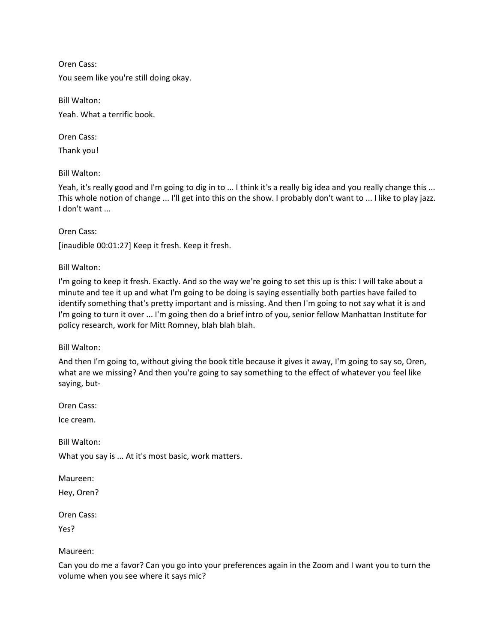You seem like you're still doing okay.

Bill Walton: Yeah. What a terrific book.

Oren Cass:

Thank you!

Bill Walton:

Yeah, it's really good and I'm going to dig in to ... I think it's a really big idea and you really change this ... This whole notion of change ... I'll get into this on the show. I probably don't want to ... I like to play jazz. I don't want ...

Oren Cass:

[inaudible 00:01:27] Keep it fresh. Keep it fresh.

Bill Walton:

I'm going to keep it fresh. Exactly. And so the way we're going to set this up is this: I will take about a minute and tee it up and what I'm going to be doing is saying essentially both parties have failed to identify something that's pretty important and is missing. And then I'm going to not say what it is and I'm going to turn it over ... I'm going then do a brief intro of you, senior fellow Manhattan Institute for policy research, work for Mitt Romney, blah blah blah.

Bill Walton:

And then I'm going to, without giving the book title because it gives it away, I'm going to say so, Oren, what are we missing? And then you're going to say something to the effect of whatever you feel like saying, but-

Oren Cass:

Ice cream.

Bill Walton:

What you say is ... At it's most basic, work matters.

Maureen:

Hey, Oren?

Oren Cass:

Yes?

Maureen:

Can you do me a favor? Can you go into your preferences again in the Zoom and I want you to turn the volume when you see where it says mic?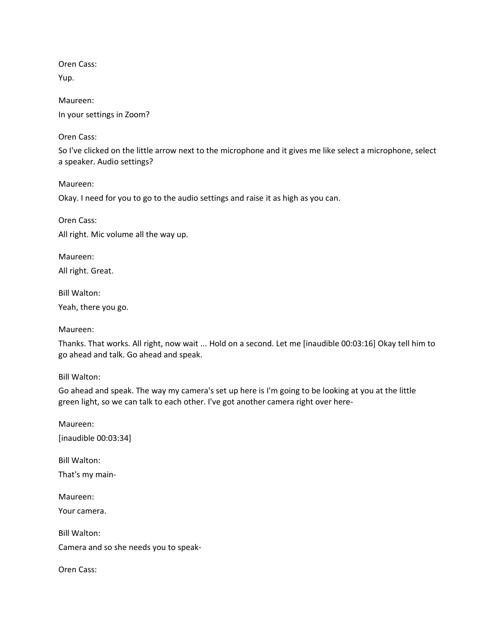Yup.

Maureen: In your settings in Zoom?

Oren Cass:

So I've clicked on the little arrow next to the microphone and it gives me like select a microphone, select a speaker. Audio settings?

Maureen:

Okay. I need for you to go to the audio settings and raise it as high as you can.

Oren Cass: All right. Mic volume all the way up.

Maureen: All right. Great.

Bill Walton:

Yeah, there you go.

Maureen:

Thanks. That works. All right, now wait ... Hold on a second. Let me [inaudible 00:03:16] Okay tell him to go ahead and talk. Go ahead and speak.

Bill Walton:

Go ahead and speak. The way my camera's set up here is I'm going to be looking at you at the little green light, so we can talk to each other. I've got another camera right over here-

Maureen: [inaudible 00:03:34]

Bill Walton: That's my main-

Maureen: Your camera.

Bill Walton: Camera and so she needs you to speak-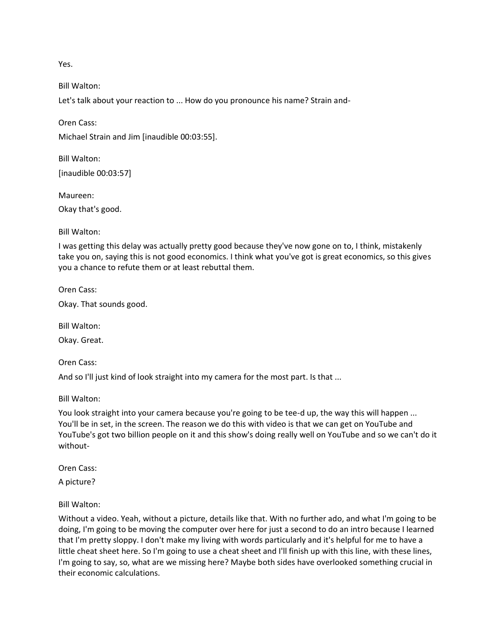Yes.

Bill Walton:

Oren Cass:

Let's talk about your reaction to ... How do you pronounce his name? Strain and-

Michael Strain and Jim [inaudible 00:03:55].

Bill Walton: [inaudible 00:03:57]

Maureen: Okay that's good.

Bill Walton:

I was getting this delay was actually pretty good because they've now gone on to, I think, mistakenly take you on, saying this is not good economics. I think what you've got is great economics, so this gives you a chance to refute them or at least rebuttal them.

Oren Cass:

Okay. That sounds good.

Bill Walton:

Okay. Great.

Oren Cass:

And so I'll just kind of look straight into my camera for the most part. Is that ...

Bill Walton:

You look straight into your camera because you're going to be tee-d up, the way this will happen ... You'll be in set, in the screen. The reason we do this with video is that we can get on YouTube and YouTube's got two billion people on it and this show's doing really well on YouTube and so we can't do it without-

Oren Cass:

A picture?

Bill Walton:

Without a video. Yeah, without a picture, details like that. With no further ado, and what I'm going to be doing, I'm going to be moving the computer over here for just a second to do an intro because I learned that I'm pretty sloppy. I don't make my living with words particularly and it's helpful for me to have a little cheat sheet here. So I'm going to use a cheat sheet and I'll finish up with this line, with these lines, I'm going to say, so, what are we missing here? Maybe both sides have overlooked something crucial in their economic calculations.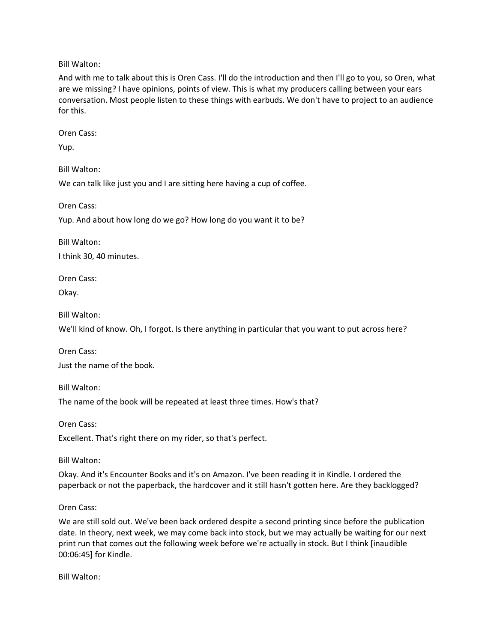Bill Walton:

And with me to talk about this is Oren Cass. I'll do the introduction and then I'll go to you, so Oren, what are we missing? I have opinions, points of view. This is what my producers calling between your ears conversation. Most people listen to these things with earbuds. We don't have to project to an audience for this.

Oren Cass:

Yup.

Bill Walton:

We can talk like just you and I are sitting here having a cup of coffee.

Oren Cass:

Yup. And about how long do we go? How long do you want it to be?

Bill Walton:

I think 30, 40 minutes.

Oren Cass:

Okay.

Bill Walton:

We'll kind of know. Oh, I forgot. Is there anything in particular that you want to put across here?

Oren Cass: Just the name of the book.

Bill Walton:

The name of the book will be repeated at least three times. How's that?

Oren Cass:

Excellent. That's right there on my rider, so that's perfect.

Bill Walton:

Okay. And it's Encounter Books and it's on Amazon. I've been reading it in Kindle. I ordered the paperback or not the paperback, the hardcover and it still hasn't gotten here. Are they backlogged?

#### Oren Cass:

We are still sold out. We've been back ordered despite a second printing since before the publication date. In theory, next week, we may come back into stock, but we may actually be waiting for our next print run that comes out the following week before we're actually in stock. But I think [inaudible 00:06:45] for Kindle.

Bill Walton: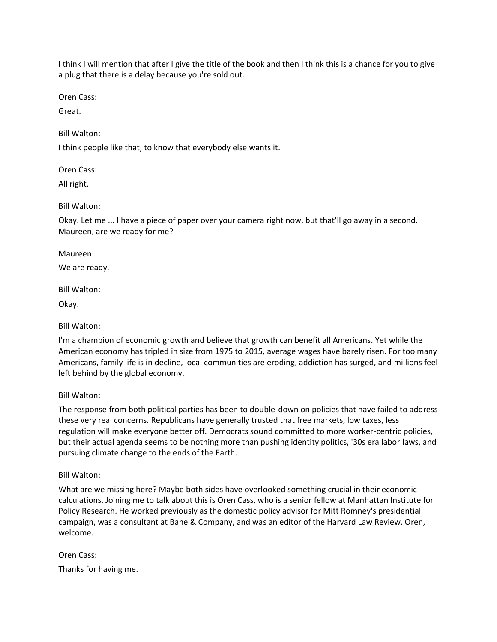I think I will mention that after I give the title of the book and then I think this is a chance for you to give a plug that there is a delay because you're sold out.

Oren Cass:

Great.

Bill Walton:

I think people like that, to know that everybody else wants it.

Oren Cass:

All right.

Bill Walton:

Okay. Let me ... I have a piece of paper over your camera right now, but that'll go away in a second. Maureen, are we ready for me?

Maureen:

We are ready.

Bill Walton:

Okay.

Bill Walton:

I'm a champion of economic growth and believe that growth can benefit all Americans. Yet while the American economy has tripled in size from 1975 to 2015, average wages have barely risen. For too many Americans, family life is in decline, local communities are eroding, addiction has surged, and millions feel left behind by the global economy.

Bill Walton:

The response from both political parties has been to double-down on policies that have failed to address these very real concerns. Republicans have generally trusted that free markets, low taxes, less regulation will make everyone better off. Democrats sound committed to more worker-centric policies, but their actual agenda seems to be nothing more than pushing identity politics, '30s era labor laws, and pursuing climate change to the ends of the Earth.

Bill Walton:

What are we missing here? Maybe both sides have overlooked something crucial in their economic calculations. Joining me to talk about this is Oren Cass, who is a senior fellow at Manhattan Institute for Policy Research. He worked previously as the domestic policy advisor for Mitt Romney's presidential campaign, was a consultant at Bane & Company, and was an editor of the Harvard Law Review. Oren, welcome.

Oren Cass: Thanks for having me.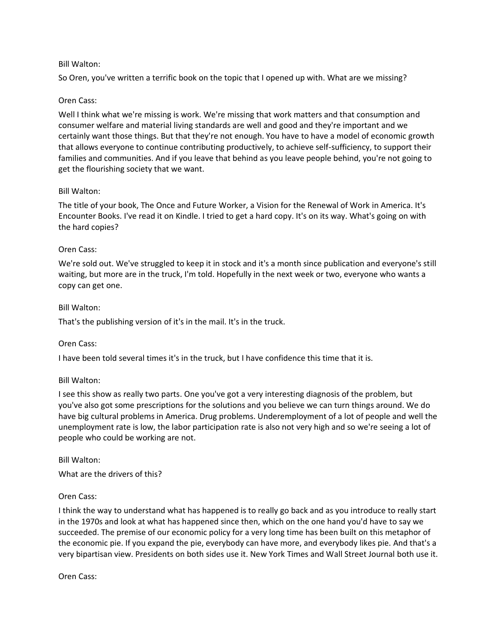## Bill Walton:

So Oren, you've written a terrific book on the topic that I opened up with. What are we missing?

#### Oren Cass:

Well I think what we're missing is work. We're missing that work matters and that consumption and consumer welfare and material living standards are well and good and they're important and we certainly want those things. But that they're not enough. You have to have a model of economic growth that allows everyone to continue contributing productively, to achieve self-sufficiency, to support their families and communities. And if you leave that behind as you leave people behind, you're not going to get the flourishing society that we want.

#### Bill Walton:

The title of your book, The Once and Future Worker, a Vision for the Renewal of Work in America. It's Encounter Books. I've read it on Kindle. I tried to get a hard copy. It's on its way. What's going on with the hard copies?

#### Oren Cass:

We're sold out. We've struggled to keep it in stock and it's a month since publication and everyone's still waiting, but more are in the truck, I'm told. Hopefully in the next week or two, everyone who wants a copy can get one.

#### Bill Walton:

That's the publishing version of it's in the mail. It's in the truck.

#### Oren Cass:

I have been told several times it's in the truck, but I have confidence this time that it is.

## Bill Walton:

I see this show as really two parts. One you've got a very interesting diagnosis of the problem, but you've also got some prescriptions for the solutions and you believe we can turn things around. We do have big cultural problems in America. Drug problems. Underemployment of a lot of people and well the unemployment rate is low, the labor participation rate is also not very high and so we're seeing a lot of people who could be working are not.

#### Bill Walton:

What are the drivers of this?

## Oren Cass:

I think the way to understand what has happened is to really go back and as you introduce to really start in the 1970s and look at what has happened since then, which on the one hand you'd have to say we succeeded. The premise of our economic policy for a very long time has been built on this metaphor of the economic pie. If you expand the pie, everybody can have more, and everybody likes pie. And that's a very bipartisan view. Presidents on both sides use it. New York Times and Wall Street Journal both use it.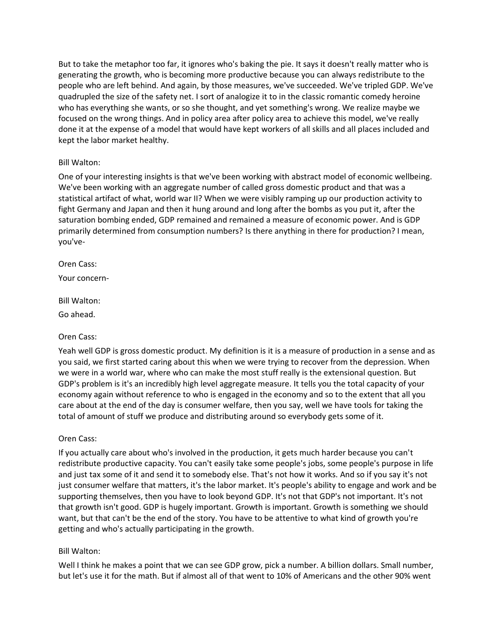But to take the metaphor too far, it ignores who's baking the pie. It says it doesn't really matter who is generating the growth, who is becoming more productive because you can always redistribute to the people who are left behind. And again, by those measures, we've succeeded. We've tripled GDP. We've quadrupled the size of the safety net. I sort of analogize it to in the classic romantic comedy heroine who has everything she wants, or so she thought, and yet something's wrong. We realize maybe we focused on the wrong things. And in policy area after policy area to achieve this model, we've really done it at the expense of a model that would have kept workers of all skills and all places included and kept the labor market healthy.

## Bill Walton:

One of your interesting insights is that we've been working with abstract model of economic wellbeing. We've been working with an aggregate number of called gross domestic product and that was a statistical artifact of what, world war II? When we were visibly ramping up our production activity to fight Germany and Japan and then it hung around and long after the bombs as you put it, after the saturation bombing ended, GDP remained and remained a measure of economic power. And is GDP primarily determined from consumption numbers? Is there anything in there for production? I mean, you've-

#### Oren Cass:

Your concern-

#### Bill Walton:

Go ahead.

## Oren Cass:

Yeah well GDP is gross domestic product. My definition is it is a measure of production in a sense and as you said, we first started caring about this when we were trying to recover from the depression. When we were in a world war, where who can make the most stuff really is the extensional question. But GDP's problem is it's an incredibly high level aggregate measure. It tells you the total capacity of your economy again without reference to who is engaged in the economy and so to the extent that all you care about at the end of the day is consumer welfare, then you say, well we have tools for taking the total of amount of stuff we produce and distributing around so everybody gets some of it.

## Oren Cass:

If you actually care about who's involved in the production, it gets much harder because you can't redistribute productive capacity. You can't easily take some people's jobs, some people's purpose in life and just tax some of it and send it to somebody else. That's not how it works. And so if you say it's not just consumer welfare that matters, it's the labor market. It's people's ability to engage and work and be supporting themselves, then you have to look beyond GDP. It's not that GDP's not important. It's not that growth isn't good. GDP is hugely important. Growth is important. Growth is something we should want, but that can't be the end of the story. You have to be attentive to what kind of growth you're getting and who's actually participating in the growth.

## Bill Walton:

Well I think he makes a point that we can see GDP grow, pick a number. A billion dollars. Small number, but let's use it for the math. But if almost all of that went to 10% of Americans and the other 90% went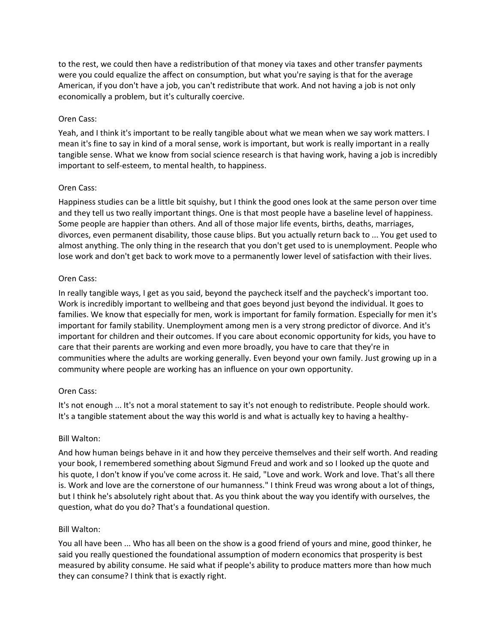to the rest, we could then have a redistribution of that money via taxes and other transfer payments were you could equalize the affect on consumption, but what you're saying is that for the average American, if you don't have a job, you can't redistribute that work. And not having a job is not only economically a problem, but it's culturally coercive.

#### Oren Cass:

Yeah, and I think it's important to be really tangible about what we mean when we say work matters. I mean it's fine to say in kind of a moral sense, work is important, but work is really important in a really tangible sense. What we know from social science research is that having work, having a job is incredibly important to self-esteem, to mental health, to happiness.

#### Oren Cass:

Happiness studies can be a little bit squishy, but I think the good ones look at the same person over time and they tell us two really important things. One is that most people have a baseline level of happiness. Some people are happier than others. And all of those major life events, births, deaths, marriages, divorces, even permanent disability, those cause blips. But you actually return back to ... You get used to almost anything. The only thing in the research that you don't get used to is unemployment. People who lose work and don't get back to work move to a permanently lower level of satisfaction with their lives.

#### Oren Cass:

In really tangible ways, I get as you said, beyond the paycheck itself and the paycheck's important too. Work is incredibly important to wellbeing and that goes beyond just beyond the individual. It goes to families. We know that especially for men, work is important for family formation. Especially for men it's important for family stability. Unemployment among men is a very strong predictor of divorce. And it's important for children and their outcomes. If you care about economic opportunity for kids, you have to care that their parents are working and even more broadly, you have to care that they're in communities where the adults are working generally. Even beyond your own family. Just growing up in a community where people are working has an influence on your own opportunity.

## Oren Cass:

It's not enough ... It's not a moral statement to say it's not enough to redistribute. People should work. It's a tangible statement about the way this world is and what is actually key to having a healthy-

## Bill Walton:

And how human beings behave in it and how they perceive themselves and their self worth. And reading your book, I remembered something about Sigmund Freud and work and so I looked up the quote and his quote, I don't know if you've come across it. He said, "Love and work. Work and love. That's all there is. Work and love are the cornerstone of our humanness." I think Freud was wrong about a lot of things, but I think he's absolutely right about that. As you think about the way you identify with ourselves, the question, what do you do? That's a foundational question.

#### Bill Walton:

You all have been ... Who has all been on the show is a good friend of yours and mine, good thinker, he said you really questioned the foundational assumption of modern economics that prosperity is best measured by ability consume. He said what if people's ability to produce matters more than how much they can consume? I think that is exactly right.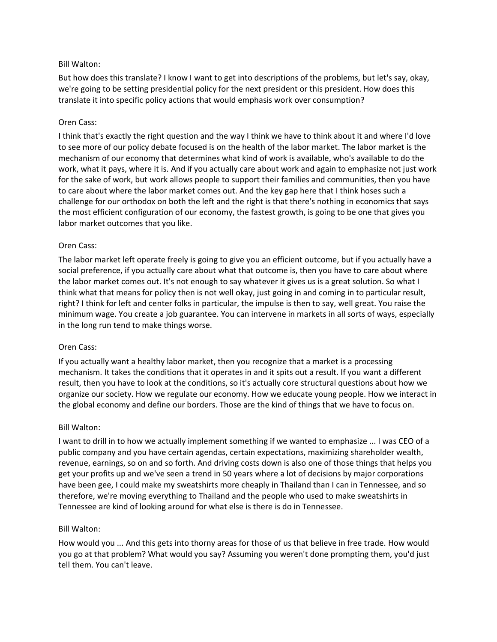## Bill Walton:

But how does this translate? I know I want to get into descriptions of the problems, but let's say, okay, we're going to be setting presidential policy for the next president or this president. How does this translate it into specific policy actions that would emphasis work over consumption?

#### Oren Cass:

I think that's exactly the right question and the way I think we have to think about it and where I'd love to see more of our policy debate focused is on the health of the labor market. The labor market is the mechanism of our economy that determines what kind of work is available, who's available to do the work, what it pays, where it is. And if you actually care about work and again to emphasize not just work for the sake of work, but work allows people to support their families and communities, then you have to care about where the labor market comes out. And the key gap here that I think hoses such a challenge for our orthodox on both the left and the right is that there's nothing in economics that says the most efficient configuration of our economy, the fastest growth, is going to be one that gives you labor market outcomes that you like.

#### Oren Cass:

The labor market left operate freely is going to give you an efficient outcome, but if you actually have a social preference, if you actually care about what that outcome is, then you have to care about where the labor market comes out. It's not enough to say whatever it gives us is a great solution. So what I think what that means for policy then is not well okay, just going in and coming in to particular result, right? I think for left and center folks in particular, the impulse is then to say, well great. You raise the minimum wage. You create a job guarantee. You can intervene in markets in all sorts of ways, especially in the long run tend to make things worse.

#### Oren Cass:

If you actually want a healthy labor market, then you recognize that a market is a processing mechanism. It takes the conditions that it operates in and it spits out a result. If you want a different result, then you have to look at the conditions, so it's actually core structural questions about how we organize our society. How we regulate our economy. How we educate young people. How we interact in the global economy and define our borders. Those are the kind of things that we have to focus on.

#### Bill Walton:

I want to drill in to how we actually implement something if we wanted to emphasize ... I was CEO of a public company and you have certain agendas, certain expectations, maximizing shareholder wealth, revenue, earnings, so on and so forth. And driving costs down is also one of those things that helps you get your profits up and we've seen a trend in 50 years where a lot of decisions by major corporations have been gee, I could make my sweatshirts more cheaply in Thailand than I can in Tennessee, and so therefore, we're moving everything to Thailand and the people who used to make sweatshirts in Tennessee are kind of looking around for what else is there is do in Tennessee.

#### Bill Walton:

How would you ... And this gets into thorny areas for those of us that believe in free trade. How would you go at that problem? What would you say? Assuming you weren't done prompting them, you'd just tell them. You can't leave.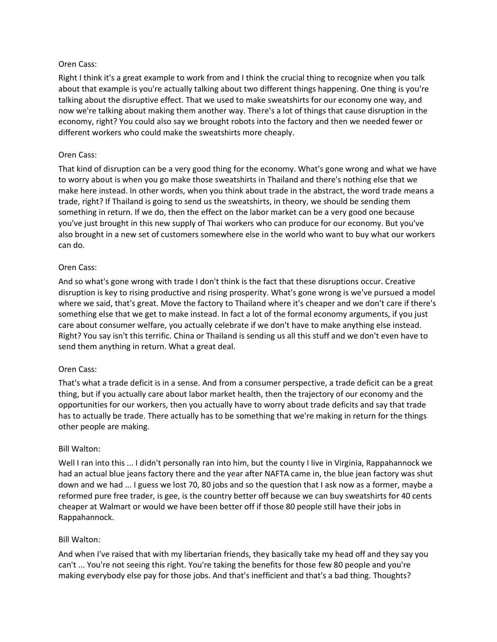Right I think it's a great example to work from and I think the crucial thing to recognize when you talk about that example is you're actually talking about two different things happening. One thing is you're talking about the disruptive effect. That we used to make sweatshirts for our economy one way, and now we're talking about making them another way. There's a lot of things that cause disruption in the economy, right? You could also say we brought robots into the factory and then we needed fewer or different workers who could make the sweatshirts more cheaply.

# Oren Cass:

That kind of disruption can be a very good thing for the economy. What's gone wrong and what we have to worry about is when you go make those sweatshirts in Thailand and there's nothing else that we make here instead. In other words, when you think about trade in the abstract, the word trade means a trade, right? If Thailand is going to send us the sweatshirts, in theory, we should be sending them something in return. If we do, then the effect on the labor market can be a very good one because you've just brought in this new supply of Thai workers who can produce for our economy. But you've also brought in a new set of customers somewhere else in the world who want to buy what our workers can do.

# Oren Cass:

And so what's gone wrong with trade I don't think is the fact that these disruptions occur. Creative disruption is key to rising productive and rising prosperity. What's gone wrong is we've pursued a model where we said, that's great. Move the factory to Thailand where it's cheaper and we don't care if there's something else that we get to make instead. In fact a lot of the formal economy arguments, if you just care about consumer welfare, you actually celebrate if we don't have to make anything else instead. Right? You say isn't this terrific. China or Thailand is sending us all this stuff and we don't even have to send them anything in return. What a great deal.

## Oren Cass:

That's what a trade deficit is in a sense. And from a consumer perspective, a trade deficit can be a great thing, but if you actually care about labor market health, then the trajectory of our economy and the opportunities for our workers, then you actually have to worry about trade deficits and say that trade has to actually be trade. There actually has to be something that we're making in return for the things other people are making.

## Bill Walton:

Well I ran into this ... I didn't personally ran into him, but the county I live in Virginia, Rappahannock we had an actual blue jeans factory there and the year after NAFTA came in, the blue jean factory was shut down and we had ... I guess we lost 70, 80 jobs and so the question that I ask now as a former, maybe a reformed pure free trader, is gee, is the country better off because we can buy sweatshirts for 40 cents cheaper at Walmart or would we have been better off if those 80 people still have their jobs in Rappahannock.

## Bill Walton:

And when I've raised that with my libertarian friends, they basically take my head off and they say you can't ... You're not seeing this right. You're taking the benefits for those few 80 people and you're making everybody else pay for those jobs. And that's inefficient and that's a bad thing. Thoughts?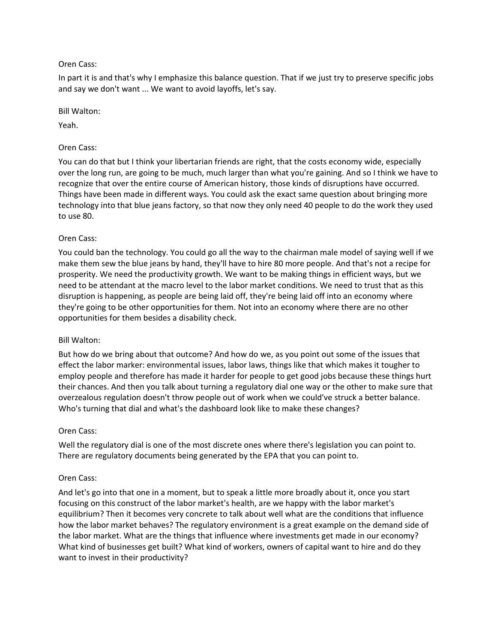In part it is and that's why I emphasize this balance question. That if we just try to preserve specific jobs and say we don't want ... We want to avoid layoffs, let's say.

#### Bill Walton:

Yeah.

## Oren Cass:

You can do that but I think your libertarian friends are right, that the costs economy wide, especially over the long run, are going to be much, much larger than what you're gaining. And so I think we have to recognize that over the entire course of American history, those kinds of disruptions have occurred. Things have been made in different ways. You could ask the exact same question about bringing more technology into that blue jeans factory, so that now they only need 40 people to do the work they used to use 80.

## Oren Cass:

You could ban the technology. You could go all the way to the chairman male model of saying well if we make them sew the blue jeans by hand, they'll have to hire 80 more people. And that's not a recipe for prosperity. We need the productivity growth. We want to be making things in efficient ways, but we need to be attendant at the macro level to the labor market conditions. We need to trust that as this disruption is happening, as people are being laid off, they're being laid off into an economy where they're going to be other opportunities for them. Not into an economy where there are no other opportunities for them besides a disability check.

## Bill Walton:

But how do we bring about that outcome? And how do we, as you point out some of the issues that effect the labor marker: environmental issues, labor laws, things like that which makes it tougher to employ people and therefore has made it harder for people to get good jobs because these things hurt their chances. And then you talk about turning a regulatory dial one way or the other to make sure that overzealous regulation doesn't throw people out of work when we could've struck a better balance. Who's turning that dial and what's the dashboard look like to make these changes?

## Oren Cass:

Well the regulatory dial is one of the most discrete ones where there's legislation you can point to. There are regulatory documents being generated by the EPA that you can point to.

## Oren Cass:

And let's go into that one in a moment, but to speak a little more broadly about it, once you start focusing on this construct of the labor market's health, are we happy with the labor market's equilibrium? Then it becomes very concrete to talk about well what are the conditions that influence how the labor market behaves? The regulatory environment is a great example on the demand side of the labor market. What are the things that influence where investments get made in our economy? What kind of businesses get built? What kind of workers, owners of capital want to hire and do they want to invest in their productivity?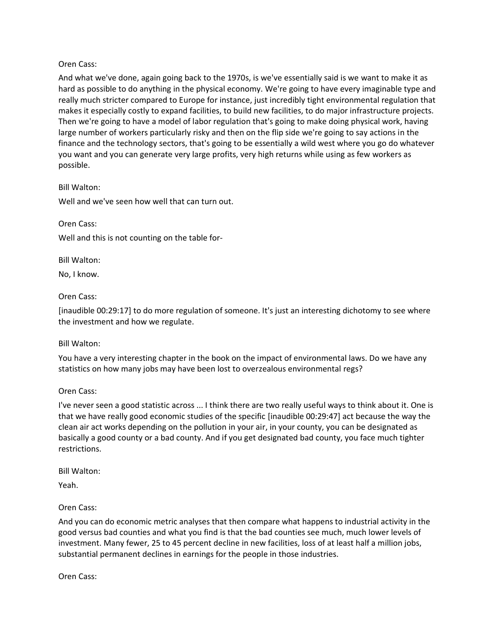And what we've done, again going back to the 1970s, is we've essentially said is we want to make it as hard as possible to do anything in the physical economy. We're going to have every imaginable type and really much stricter compared to Europe for instance, just incredibly tight environmental regulation that makes it especially costly to expand facilities, to build new facilities, to do major infrastructure projects. Then we're going to have a model of labor regulation that's going to make doing physical work, having large number of workers particularly risky and then on the flip side we're going to say actions in the finance and the technology sectors, that's going to be essentially a wild west where you go do whatever you want and you can generate very large profits, very high returns while using as few workers as possible.

#### Bill Walton:

Well and we've seen how well that can turn out.

#### Oren Cass:

Well and this is not counting on the table for-

Bill Walton:

No, I know.

#### Oren Cass:

[inaudible 00:29:17] to do more regulation of someone. It's just an interesting dichotomy to see where the investment and how we regulate.

#### Bill Walton:

You have a very interesting chapter in the book on the impact of environmental laws. Do we have any statistics on how many jobs may have been lost to overzealous environmental regs?

#### Oren Cass:

I've never seen a good statistic across ... I think there are two really useful ways to think about it. One is that we have really good economic studies of the specific [inaudible 00:29:47] act because the way the clean air act works depending on the pollution in your air, in your county, you can be designated as basically a good county or a bad county. And if you get designated bad county, you face much tighter restrictions.

Bill Walton:

Yeah.

## Oren Cass:

And you can do economic metric analyses that then compare what happens to industrial activity in the good versus bad counties and what you find is that the bad counties see much, much lower levels of investment. Many fewer, 25 to 45 percent decline in new facilities, loss of at least half a million jobs, substantial permanent declines in earnings for the people in those industries.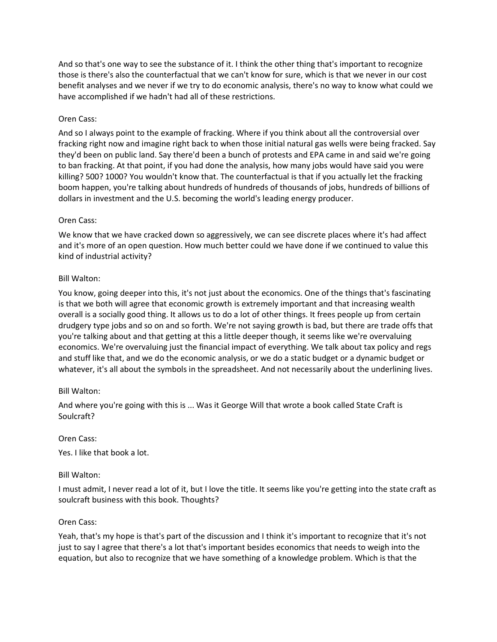And so that's one way to see the substance of it. I think the other thing that's important to recognize those is there's also the counterfactual that we can't know for sure, which is that we never in our cost benefit analyses and we never if we try to do economic analysis, there's no way to know what could we have accomplished if we hadn't had all of these restrictions.

# Oren Cass:

And so I always point to the example of fracking. Where if you think about all the controversial over fracking right now and imagine right back to when those initial natural gas wells were being fracked. Say they'd been on public land. Say there'd been a bunch of protests and EPA came in and said we're going to ban fracking. At that point, if you had done the analysis, how many jobs would have said you were killing? 500? 1000? You wouldn't know that. The counterfactual is that if you actually let the fracking boom happen, you're talking about hundreds of hundreds of thousands of jobs, hundreds of billions of dollars in investment and the U.S. becoming the world's leading energy producer.

## Oren Cass:

We know that we have cracked down so aggressively, we can see discrete places where it's had affect and it's more of an open question. How much better could we have done if we continued to value this kind of industrial activity?

# Bill Walton:

You know, going deeper into this, it's not just about the economics. One of the things that's fascinating is that we both will agree that economic growth is extremely important and that increasing wealth overall is a socially good thing. It allows us to do a lot of other things. It frees people up from certain drudgery type jobs and so on and so forth. We're not saying growth is bad, but there are trade offs that you're talking about and that getting at this a little deeper though, it seems like we're overvaluing economics. We're overvaluing just the financial impact of everything. We talk about tax policy and regs and stuff like that, and we do the economic analysis, or we do a static budget or a dynamic budget or whatever, it's all about the symbols in the spreadsheet. And not necessarily about the underlining lives.

## Bill Walton:

And where you're going with this is ... Was it George Will that wrote a book called State Craft is Soulcraft?

## Oren Cass:

Yes. I like that book a lot.

## Bill Walton:

I must admit, I never read a lot of it, but I love the title. It seems like you're getting into the state craft as soulcraft business with this book. Thoughts?

## Oren Cass:

Yeah, that's my hope is that's part of the discussion and I think it's important to recognize that it's not just to say I agree that there's a lot that's important besides economics that needs to weigh into the equation, but also to recognize that we have something of a knowledge problem. Which is that the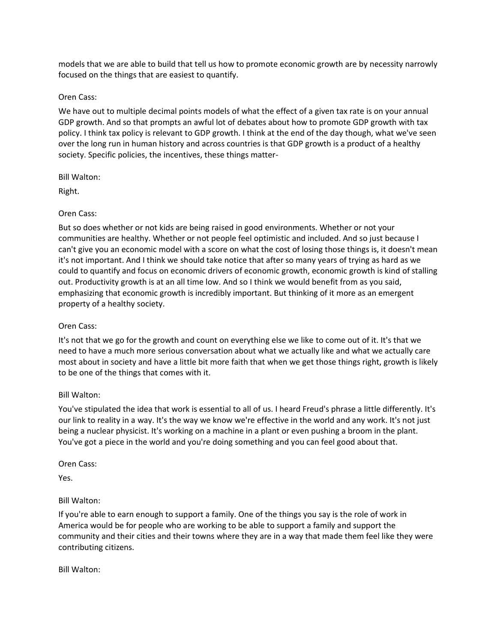models that we are able to build that tell us how to promote economic growth are by necessity narrowly focused on the things that are easiest to quantify.

#### Oren Cass:

We have out to multiple decimal points models of what the effect of a given tax rate is on your annual GDP growth. And so that prompts an awful lot of debates about how to promote GDP growth with tax policy. I think tax policy is relevant to GDP growth. I think at the end of the day though, what we've seen over the long run in human history and across countries is that GDP growth is a product of a healthy society. Specific policies, the incentives, these things matter-

Bill Walton:

Right.

## Oren Cass:

But so does whether or not kids are being raised in good environments. Whether or not your communities are healthy. Whether or not people feel optimistic and included. And so just because I can't give you an economic model with a score on what the cost of losing those things is, it doesn't mean it's not important. And I think we should take notice that after so many years of trying as hard as we could to quantify and focus on economic drivers of economic growth, economic growth is kind of stalling out. Productivity growth is at an all time low. And so I think we would benefit from as you said, emphasizing that economic growth is incredibly important. But thinking of it more as an emergent property of a healthy society.

## Oren Cass:

It's not that we go for the growth and count on everything else we like to come out of it. It's that we need to have a much more serious conversation about what we actually like and what we actually care most about in society and have a little bit more faith that when we get those things right, growth is likely to be one of the things that comes with it.

## Bill Walton:

You've stipulated the idea that work is essential to all of us. I heard Freud's phrase a little differently. It's our link to reality in a way. It's the way we know we're effective in the world and any work. It's not just being a nuclear physicist. It's working on a machine in a plant or even pushing a broom in the plant. You've got a piece in the world and you're doing something and you can feel good about that.

Oren Cass:

Yes.

## Bill Walton:

If you're able to earn enough to support a family. One of the things you say is the role of work in America would be for people who are working to be able to support a family and support the community and their cities and their towns where they are in a way that made them feel like they were contributing citizens.

Bill Walton: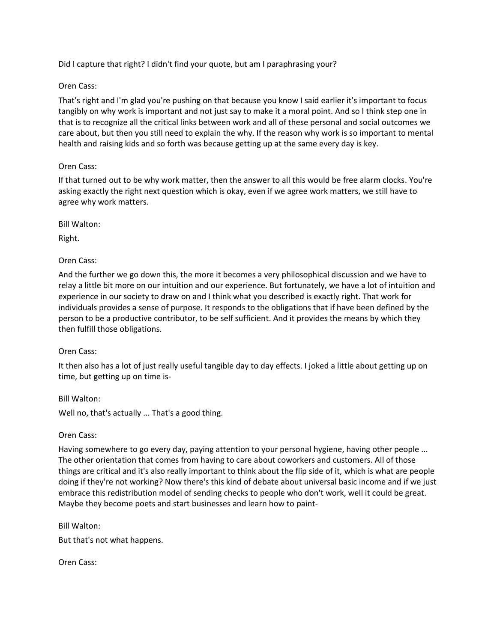Did I capture that right? I didn't find your quote, but am I paraphrasing your?

# Oren Cass:

That's right and I'm glad you're pushing on that because you know I said earlier it's important to focus tangibly on why work is important and not just say to make it a moral point. And so I think step one in that is to recognize all the critical links between work and all of these personal and social outcomes we care about, but then you still need to explain the why. If the reason why work is so important to mental health and raising kids and so forth was because getting up at the same every day is key.

# Oren Cass:

If that turned out to be why work matter, then the answer to all this would be free alarm clocks. You're asking exactly the right next question which is okay, even if we agree work matters, we still have to agree why work matters.

Bill Walton:

Right.

# Oren Cass:

And the further we go down this, the more it becomes a very philosophical discussion and we have to relay a little bit more on our intuition and our experience. But fortunately, we have a lot of intuition and experience in our society to draw on and I think what you described is exactly right. That work for individuals provides a sense of purpose. It responds to the obligations that if have been defined by the person to be a productive contributor, to be self sufficient. And it provides the means by which they then fulfill those obligations.

## Oren Cass:

It then also has a lot of just really useful tangible day to day effects. I joked a little about getting up on time, but getting up on time is-

Bill Walton:

Well no, that's actually ... That's a good thing.

# Oren Cass:

Having somewhere to go every day, paying attention to your personal hygiene, having other people ... The other orientation that comes from having to care about coworkers and customers. All of those things are critical and it's also really important to think about the flip side of it, which is what are people doing if they're not working? Now there's this kind of debate about universal basic income and if we just embrace this redistribution model of sending checks to people who don't work, well it could be great. Maybe they become poets and start businesses and learn how to paint-

Bill Walton:

But that's not what happens.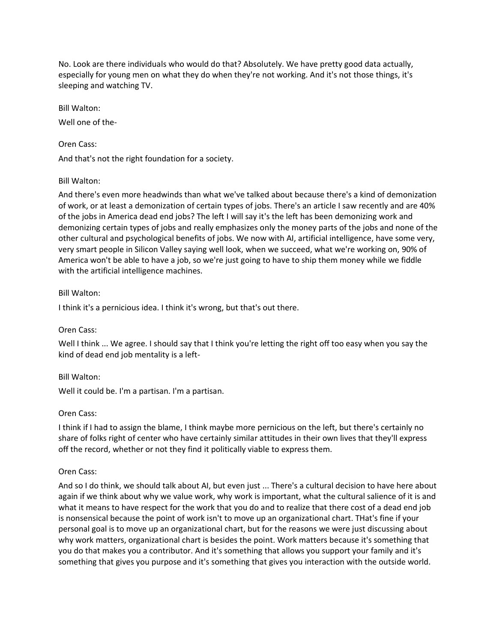No. Look are there individuals who would do that? Absolutely. We have pretty good data actually, especially for young men on what they do when they're not working. And it's not those things, it's sleeping and watching TV.

Bill Walton:

Well one of the-

Oren Cass:

And that's not the right foundation for a society.

#### Bill Walton:

And there's even more headwinds than what we've talked about because there's a kind of demonization of work, or at least a demonization of certain types of jobs. There's an article I saw recently and are 40% of the jobs in America dead end jobs? The left I will say it's the left has been demonizing work and demonizing certain types of jobs and really emphasizes only the money parts of the jobs and none of the other cultural and psychological benefits of jobs. We now with AI, artificial intelligence, have some very, very smart people in Silicon Valley saying well look, when we succeed, what we're working on, 90% of America won't be able to have a job, so we're just going to have to ship them money while we fiddle with the artificial intelligence machines.

#### Bill Walton:

I think it's a pernicious idea. I think it's wrong, but that's out there.

## Oren Cass:

Well I think ... We agree. I should say that I think you're letting the right off too easy when you say the kind of dead end job mentality is a left-

## Bill Walton:

Well it could be. I'm a partisan. I'm a partisan.

## Oren Cass:

I think if I had to assign the blame, I think maybe more pernicious on the left, but there's certainly no share of folks right of center who have certainly similar attitudes in their own lives that they'll express off the record, whether or not they find it politically viable to express them.

#### Oren Cass:

And so I do think, we should talk about AI, but even just ... There's a cultural decision to have here about again if we think about why we value work, why work is important, what the cultural salience of it is and what it means to have respect for the work that you do and to realize that there cost of a dead end job is nonsensical because the point of work isn't to move up an organizational chart. THat's fine if your personal goal is to move up an organizational chart, but for the reasons we were just discussing about why work matters, organizational chart is besides the point. Work matters because it's something that you do that makes you a contributor. And it's something that allows you support your family and it's something that gives you purpose and it's something that gives you interaction with the outside world.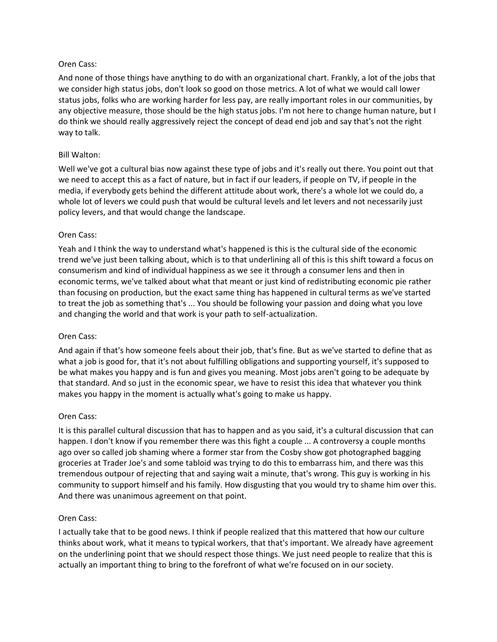And none of those things have anything to do with an organizational chart. Frankly, a lot of the jobs that we consider high status jobs, don't look so good on those metrics. A lot of what we would call lower status jobs, folks who are working harder for less pay, are really important roles in our communities, by any objective measure, those should be the high status jobs. I'm not here to change human nature, but I do think we should really aggressively reject the concept of dead end job and say that's not the right way to talk.

#### Bill Walton:

Well we've got a cultural bias now against these type of jobs and it's really out there. You point out that we need to accept this as a fact of nature, but in fact if our leaders, if people on TV, if people in the media, if everybody gets behind the different attitude about work, there's a whole lot we could do, a whole lot of levers we could push that would be cultural levels and let levers and not necessarily just policy levers, and that would change the landscape.

#### Oren Cass:

Yeah and I think the way to understand what's happened is this is the cultural side of the economic trend we've just been talking about, which is to that underlining all of this is this shift toward a focus on consumerism and kind of individual happiness as we see it through a consumer lens and then in economic terms, we've talked about what that meant or just kind of redistributing economic pie rather than focusing on production, but the exact same thing has happened in cultural terms as we've started to treat the job as something that's ... You should be following your passion and doing what you love and changing the world and that work is your path to self-actualization.

#### Oren Cass:

And again if that's how someone feels about their job, that's fine. But as we've started to define that as what a job is good for, that it's not about fulfilling obligations and supporting yourself, it's supposed to be what makes you happy and is fun and gives you meaning. Most jobs aren't going to be adequate by that standard. And so just in the economic spear, we have to resist this idea that whatever you think makes you happy in the moment is actually what's going to make us happy.

## Oren Cass:

It is this parallel cultural discussion that has to happen and as you said, it's a cultural discussion that can happen. I don't know if you remember there was this fight a couple ... A controversy a couple months ago over so called job shaming where a former star from the Cosby show got photographed bagging groceries at Trader Joe's and some tabloid was trying to do this to embarrass him, and there was this tremendous outpour of rejecting that and saying wait a minute, that's wrong. This guy is working in his community to support himself and his family. How disgusting that you would try to shame him over this. And there was unanimous agreement on that point.

#### Oren Cass:

I actually take that to be good news. I think if people realized that this mattered that how our culture thinks about work, what it means to typical workers, that that's important. We already have agreement on the underlining point that we should respect those things. We just need people to realize that this is actually an important thing to bring to the forefront of what we're focused on in our society.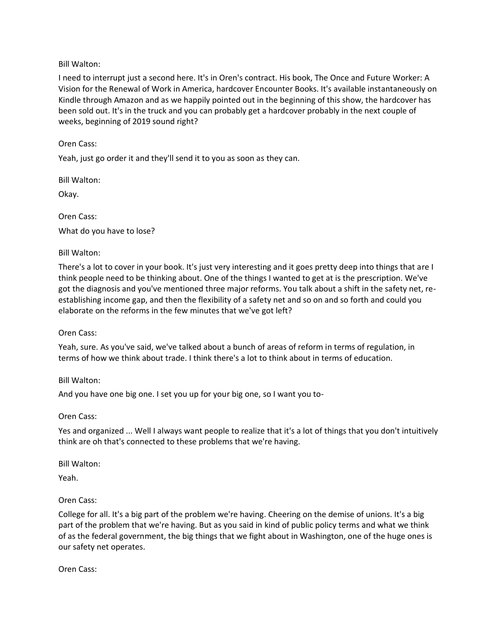## Bill Walton:

I need to interrupt just a second here. It's in Oren's contract. His book, The Once and Future Worker: A Vision for the Renewal of Work in America, hardcover Encounter Books. It's available instantaneously on Kindle through Amazon and as we happily pointed out in the beginning of this show, the hardcover has been sold out. It's in the truck and you can probably get a hardcover probably in the next couple of weeks, beginning of 2019 sound right?

Oren Cass:

Yeah, just go order it and they'll send it to you as soon as they can.

Bill Walton:

Okay.

Oren Cass: What do you have to lose?

# Bill Walton:

There's a lot to cover in your book. It's just very interesting and it goes pretty deep into things that are I think people need to be thinking about. One of the things I wanted to get at is the prescription. We've got the diagnosis and you've mentioned three major reforms. You talk about a shift in the safety net, reestablishing income gap, and then the flexibility of a safety net and so on and so forth and could you elaborate on the reforms in the few minutes that we've got left?

Oren Cass:

Yeah, sure. As you've said, we've talked about a bunch of areas of reform in terms of regulation, in terms of how we think about trade. I think there's a lot to think about in terms of education.

Bill Walton:

And you have one big one. I set you up for your big one, so I want you to-

Oren Cass:

Yes and organized ... Well I always want people to realize that it's a lot of things that you don't intuitively think are oh that's connected to these problems that we're having.

Bill Walton:

Yeah.

# Oren Cass:

College for all. It's a big part of the problem we're having. Cheering on the demise of unions. It's a big part of the problem that we're having. But as you said in kind of public policy terms and what we think of as the federal government, the big things that we fight about in Washington, one of the huge ones is our safety net operates.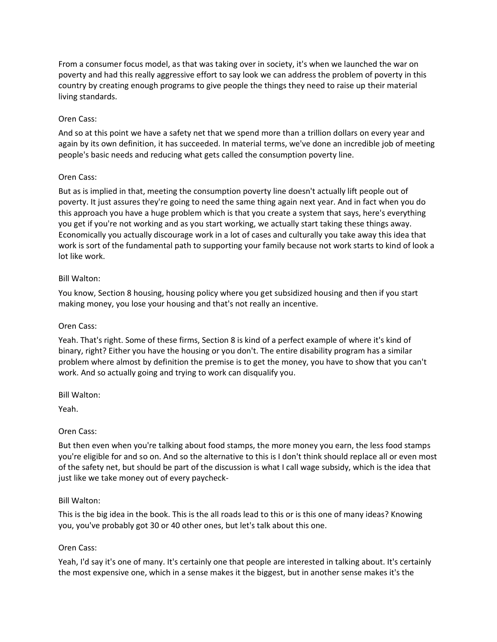From a consumer focus model, as that was taking over in society, it's when we launched the war on poverty and had this really aggressive effort to say look we can address the problem of poverty in this country by creating enough programs to give people the things they need to raise up their material living standards.

## Oren Cass:

And so at this point we have a safety net that we spend more than a trillion dollars on every year and again by its own definition, it has succeeded. In material terms, we've done an incredible job of meeting people's basic needs and reducing what gets called the consumption poverty line.

# Oren Cass:

But as is implied in that, meeting the consumption poverty line doesn't actually lift people out of poverty. It just assures they're going to need the same thing again next year. And in fact when you do this approach you have a huge problem which is that you create a system that says, here's everything you get if you're not working and as you start working, we actually start taking these things away. Economically you actually discourage work in a lot of cases and culturally you take away this idea that work is sort of the fundamental path to supporting your family because not work starts to kind of look a lot like work.

# Bill Walton:

You know, Section 8 housing, housing policy where you get subsidized housing and then if you start making money, you lose your housing and that's not really an incentive.

# Oren Cass:

Yeah. That's right. Some of these firms, Section 8 is kind of a perfect example of where it's kind of binary, right? Either you have the housing or you don't. The entire disability program has a similar problem where almost by definition the premise is to get the money, you have to show that you can't work. And so actually going and trying to work can disqualify you.

Bill Walton:

Yeah.

## Oren Cass:

But then even when you're talking about food stamps, the more money you earn, the less food stamps you're eligible for and so on. And so the alternative to this is I don't think should replace all or even most of the safety net, but should be part of the discussion is what I call wage subsidy, which is the idea that just like we take money out of every paycheck-

## Bill Walton:

This is the big idea in the book. This is the all roads lead to this or is this one of many ideas? Knowing you, you've probably got 30 or 40 other ones, but let's talk about this one.

## Oren Cass:

Yeah, I'd say it's one of many. It's certainly one that people are interested in talking about. It's certainly the most expensive one, which in a sense makes it the biggest, but in another sense makes it's the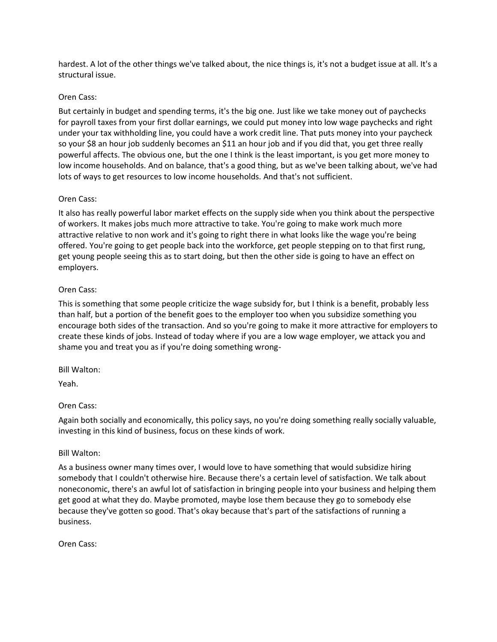hardest. A lot of the other things we've talked about, the nice things is, it's not a budget issue at all. It's a structural issue.

## Oren Cass:

But certainly in budget and spending terms, it's the big one. Just like we take money out of paychecks for payroll taxes from your first dollar earnings, we could put money into low wage paychecks and right under your tax withholding line, you could have a work credit line. That puts money into your paycheck so your \$8 an hour job suddenly becomes an \$11 an hour job and if you did that, you get three really powerful affects. The obvious one, but the one I think is the least important, is you get more money to low income households. And on balance, that's a good thing, but as we've been talking about, we've had lots of ways to get resources to low income households. And that's not sufficient.

## Oren Cass:

It also has really powerful labor market effects on the supply side when you think about the perspective of workers. It makes jobs much more attractive to take. You're going to make work much more attractive relative to non work and it's going to right there in what looks like the wage you're being offered. You're going to get people back into the workforce, get people stepping on to that first rung, get young people seeing this as to start doing, but then the other side is going to have an effect on employers.

## Oren Cass:

This is something that some people criticize the wage subsidy for, but I think is a benefit, probably less than half, but a portion of the benefit goes to the employer too when you subsidize something you encourage both sides of the transaction. And so you're going to make it more attractive for employers to create these kinds of jobs. Instead of today where if you are a low wage employer, we attack you and shame you and treat you as if you're doing something wrong-

#### Bill Walton:

Yeah.

## Oren Cass:

Again both socially and economically, this policy says, no you're doing something really socially valuable, investing in this kind of business, focus on these kinds of work.

#### Bill Walton:

As a business owner many times over, I would love to have something that would subsidize hiring somebody that I couldn't otherwise hire. Because there's a certain level of satisfaction. We talk about noneconomic, there's an awful lot of satisfaction in bringing people into your business and helping them get good at what they do. Maybe promoted, maybe lose them because they go to somebody else because they've gotten so good. That's okay because that's part of the satisfactions of running a business.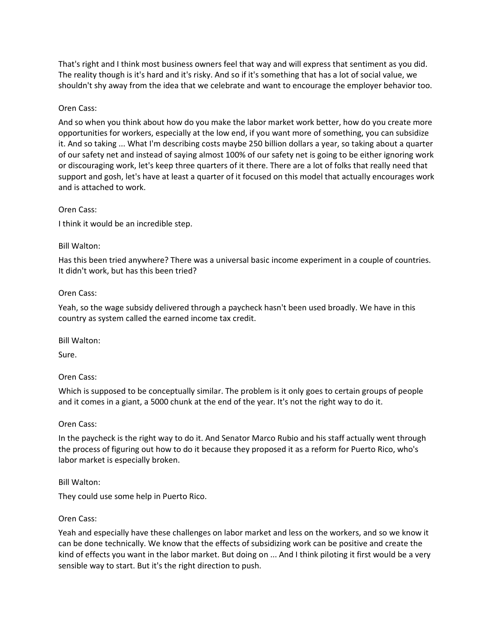That's right and I think most business owners feel that way and will express that sentiment as you did. The reality though is it's hard and it's risky. And so if it's something that has a lot of social value, we shouldn't shy away from the idea that we celebrate and want to encourage the employer behavior too.

## Oren Cass:

And so when you think about how do you make the labor market work better, how do you create more opportunities for workers, especially at the low end, if you want more of something, you can subsidize it. And so taking ... What I'm describing costs maybe 250 billion dollars a year, so taking about a quarter of our safety net and instead of saying almost 100% of our safety net is going to be either ignoring work or discouraging work, let's keep three quarters of it there. There are a lot of folks that really need that support and gosh, let's have at least a quarter of it focused on this model that actually encourages work and is attached to work.

## Oren Cass:

I think it would be an incredible step.

## Bill Walton:

Has this been tried anywhere? There was a universal basic income experiment in a couple of countries. It didn't work, but has this been tried?

## Oren Cass:

Yeah, so the wage subsidy delivered through a paycheck hasn't been used broadly. We have in this country as system called the earned income tax credit.

Bill Walton:

Sure.

## Oren Cass:

Which is supposed to be conceptually similar. The problem is it only goes to certain groups of people and it comes in a giant, a 5000 chunk at the end of the year. It's not the right way to do it.

## Oren Cass:

In the paycheck is the right way to do it. And Senator Marco Rubio and his staff actually went through the process of figuring out how to do it because they proposed it as a reform for Puerto Rico, who's labor market is especially broken.

## Bill Walton:

They could use some help in Puerto Rico.

#### Oren Cass:

Yeah and especially have these challenges on labor market and less on the workers, and so we know it can be done technically. We know that the effects of subsidizing work can be positive and create the kind of effects you want in the labor market. But doing on ... And I think piloting it first would be a very sensible way to start. But it's the right direction to push.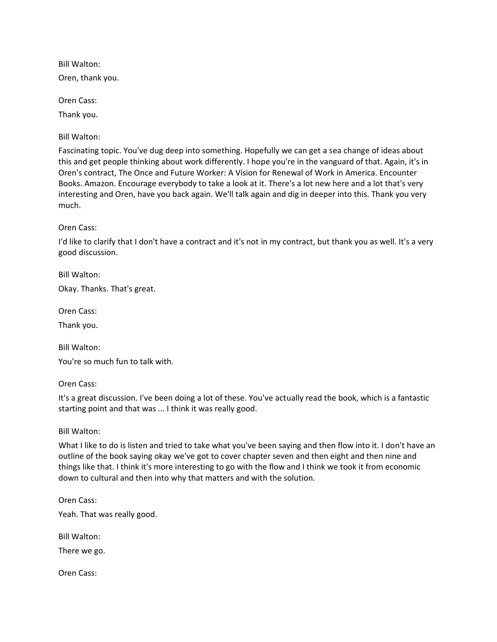Bill Walton: Oren, thank you.

Oren Cass:

Thank you.

Bill Walton:

Fascinating topic. You've dug deep into something. Hopefully we can get a sea change of ideas about this and get people thinking about work differently. I hope you're in the vanguard of that. Again, it's in Oren's contract, The Once and Future Worker: A Vision for Renewal of Work in America. Encounter Books. Amazon. Encourage everybody to take a look at it. There's a lot new here and a lot that's very interesting and Oren, have you back again. We'll talk again and dig in deeper into this. Thank you very much.

Oren Cass:

I'd like to clarify that I don't have a contract and it's not in my contract, but thank you as well. It's a very good discussion.

Bill Walton:

Okay. Thanks. That's great.

Oren Cass:

Thank you.

Bill Walton:

You're so much fun to talk with.

Oren Cass:

It's a great discussion. I've been doing a lot of these. You've actually read the book, which is a fantastic starting point and that was ... I think it was really good.

Bill Walton:

What I like to do is listen and tried to take what you've been saying and then flow into it. I don't have an outline of the book saying okay we've got to cover chapter seven and then eight and then nine and things like that. I think it's more interesting to go with the flow and I think we took it from economic down to cultural and then into why that matters and with the solution.

Oren Cass: Yeah. That was really good.

Bill Walton:

There we go.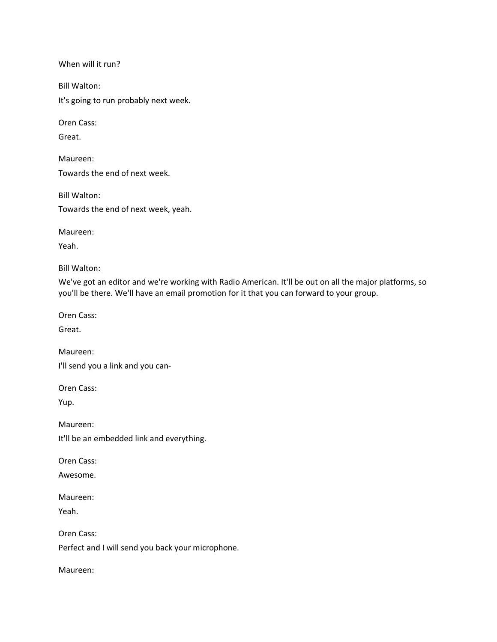When will it run?

Bill Walton:

It's going to run probably next week.

Oren Cass:

Great.

Maureen: Towards the end of next week.

Bill Walton:

Towards the end of next week, yeah.

Maureen:

Yeah.

Bill Walton:

We've got an editor and we're working with Radio American. It'll be out on all the major platforms, so you'll be there. We'll have an email promotion for it that you can forward to your group.

Oren Cass:

Great.

Maureen:

I'll send you a link and you can-

Oren Cass:

Yup.

Maureen: It'll be an embedded link and everything.

Oren Cass:

Awesome.

Maureen:

Yeah.

Perfect and I will send you back your microphone.

Maureen: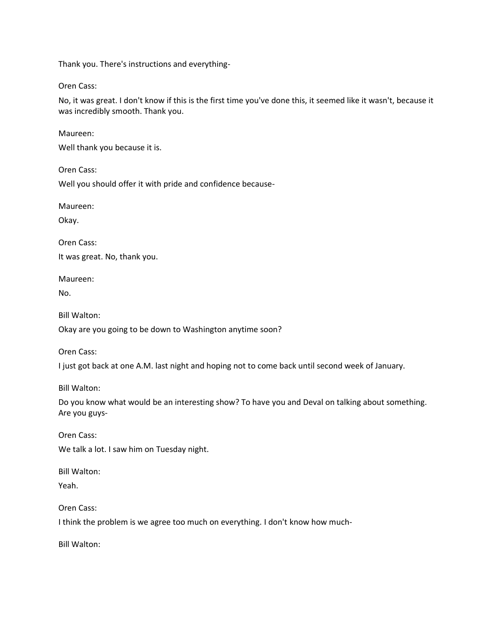Thank you. There's instructions and everything-

Oren Cass:

No, it was great. I don't know if this is the first time you've done this, it seemed like it wasn't, because it was incredibly smooth. Thank you.

Maureen: Well thank you because it is.

Oren Cass:

Well you should offer it with pride and confidence because-

Maureen:

Okay.

Oren Cass: It was great. No, thank you.

Maureen:

No.

Bill Walton:

Okay are you going to be down to Washington anytime soon?

Oren Cass:

I just got back at one A.M. last night and hoping not to come back until second week of January.

Bill Walton:

Do you know what would be an interesting show? To have you and Deval on talking about something. Are you guys-

Oren Cass:

We talk a lot. I saw him on Tuesday night.

Bill Walton:

Yeah.

Oren Cass:

I think the problem is we agree too much on everything. I don't know how much-

Bill Walton: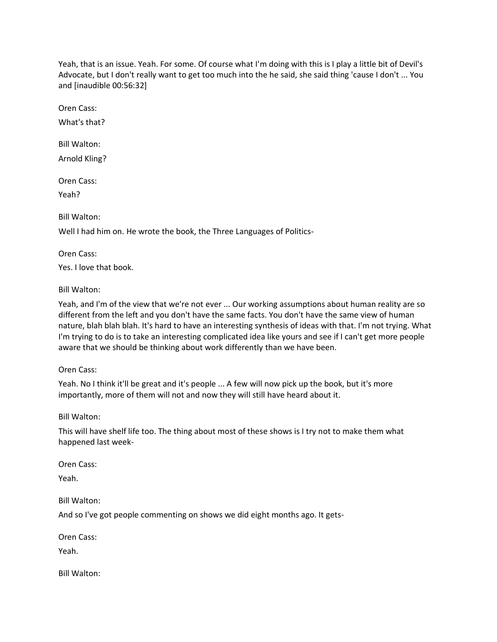Yeah, that is an issue. Yeah. For some. Of course what I'm doing with this is I play a little bit of Devil's Advocate, but I don't really want to get too much into the he said, she said thing 'cause I don't ... You and [inaudible 00:56:32]

Oren Cass:

What's that?

Bill Walton: Arnold Kling?

Oren Cass:

Yeah?

Bill Walton:

Well I had him on. He wrote the book, the Three Languages of Politics-

Oren Cass:

Yes. I love that book.

Bill Walton:

Yeah, and I'm of the view that we're not ever ... Our working assumptions about human reality are so different from the left and you don't have the same facts. You don't have the same view of human nature, blah blah blah. It's hard to have an interesting synthesis of ideas with that. I'm not trying. What I'm trying to do is to take an interesting complicated idea like yours and see if I can't get more people aware that we should be thinking about work differently than we have been.

Oren Cass:

Yeah. No I think it'll be great and it's people ... A few will now pick up the book, but it's more importantly, more of them will not and now they will still have heard about it.

Bill Walton:

This will have shelf life too. The thing about most of these shows is I try not to make them what happened last week-

Oren Cass:

Yeah.

Bill Walton:

And so I've got people commenting on shows we did eight months ago. It gets-

Oren Cass:

Yeah.

Bill Walton: